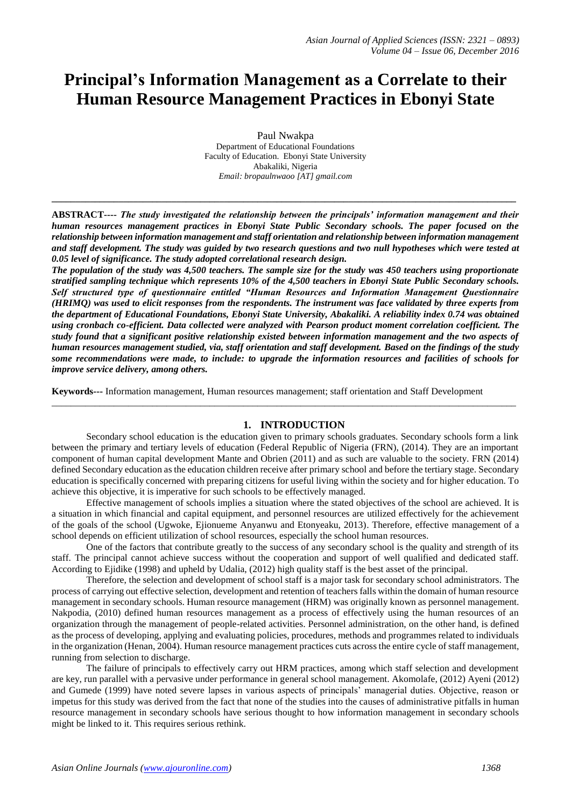# **Principal's Information Management as a Correlate to their Human Resource Management Practices in Ebonyi State**

Paul Nwakpa Department of Educational Foundations Faculty of Education. Ebonyi State University Abakaliki, Nigeria *Email: bropaulnwaoo [AT] gmail.com*

**ABSTRACT----** *The study investigated the relationship between the principals' information management and their human resources management practices in Ebonyi State Public Secondary schools. The paper focused on the relationship between information management and staff orientation and relationship between information management and staff development. The study was guided by two research questions and two null hypotheses which were tested at 0.05 level of significance. The study adopted correlational research design.*

**\_\_\_\_\_\_\_\_\_\_\_\_\_\_\_\_\_\_\_\_\_\_\_\_\_\_\_\_\_\_\_\_\_\_\_\_\_\_\_\_\_\_\_\_\_\_\_\_\_\_\_\_\_\_\_\_\_\_\_\_\_\_\_\_\_\_\_\_\_\_\_\_\_\_\_\_\_\_\_\_\_\_\_\_\_\_\_\_\_\_\_\_\_\_\_\_\_**

*The population of the study was 4,500 teachers. The sample size for the study was 450 teachers using proportionate stratified sampling technique which represents 10% of the 4,500 teachers in Ebonyi State Public Secondary schools. Self structured type of questionnaire entitled "Human Resources and Information Management Questionnaire (HRIMQ) was used to elicit responses from the respondents. The instrument was face validated by three experts from the department of Educational Foundations, Ebonyi State University, Abakaliki. A reliability index 0.74 was obtained using cronbach co-efficient. Data collected were analyzed with Pearson product moment correlation coefficient. The study found that a significant positive relationship existed between information management and the two aspects of human resources management studied, via, staff orientation and staff development. Based on the findings of the study some recommendations were made, to include: to upgrade the information resources and facilities of schools for improve service delivery, among others.*

**Keywords---** Information management, Human resources management; staff orientation and Staff Development

## **1. INTRODUCTION**

 $\_$  ,  $\_$  ,  $\_$  ,  $\_$  ,  $\_$  ,  $\_$  ,  $\_$  ,  $\_$  ,  $\_$  ,  $\_$  ,  $\_$  ,  $\_$  ,  $\_$  ,  $\_$  ,  $\_$  ,  $\_$  ,  $\_$  ,  $\_$  ,  $\_$  ,  $\_$  ,  $\_$  ,  $\_$  ,  $\_$  ,  $\_$  ,  $\_$  ,  $\_$  ,  $\_$  ,  $\_$  ,  $\_$  ,  $\_$  ,  $\_$  ,  $\_$  ,  $\_$  ,  $\_$  ,  $\_$  ,  $\_$  ,  $\_$  ,

Secondary school education is the education given to primary schools graduates. Secondary schools form a link between the primary and tertiary levels of education (Federal Republic of Nigeria (FRN), (2014). They are an important component of human capital development Mante and Obrien (2011) and as such are valuable to the society. FRN (2014) defined Secondary education as the education children receive after primary school and before the tertiary stage. Secondary education is specifically concerned with preparing citizens for useful living within the society and for higher education. To achieve this objective, it is imperative for such schools to be effectively managed.

Effective management of schools implies a situation where the stated objectives of the school are achieved. It is a situation in which financial and capital equipment, and personnel resources are utilized effectively for the achievement of the goals of the school (Ugwoke, Ejionueme Anyanwu and Etonyeaku, 2013). Therefore, effective management of a school depends on efficient utilization of school resources, especially the school human resources.

One of the factors that contribute greatly to the success of any secondary school is the quality and strength of its staff. The principal cannot achieve success without the cooperation and support of well qualified and dedicated staff. According to Ejidike (1998) and upheld by Udalia, (2012) high quality staff is the best asset of the principal.

Therefore, the selection and development of school staff is a major task for secondary school administrators. The process of carrying out effective selection, development and retention of teachers falls within the domain of human resource management in secondary schools. Human resource management (HRM) was originally known as personnel management. Nakpodia, (2010) defined human resources management as a process of effectively using the human resources of an organization through the management of people-related activities. Personnel administration, on the other hand, is defined as the process of developing, applying and evaluating policies, procedures, methods and programmes related to individuals in the organization (Henan, 2004). Human resource management practices cuts across the entire cycle of staff management, running from selection to discharge.

The failure of principals to effectively carry out HRM practices, among which staff selection and development are key, run parallel with a pervasive under performance in general school management. Akomolafe, (2012) Ayeni (2012) and Gumede (1999) have noted severe lapses in various aspects of principals' managerial duties. Objective, reason or impetus for this study was derived from the fact that none of the studies into the causes of administrative pitfalls in human resource management in secondary schools have serious thought to how information management in secondary schools might be linked to it. This requires serious rethink.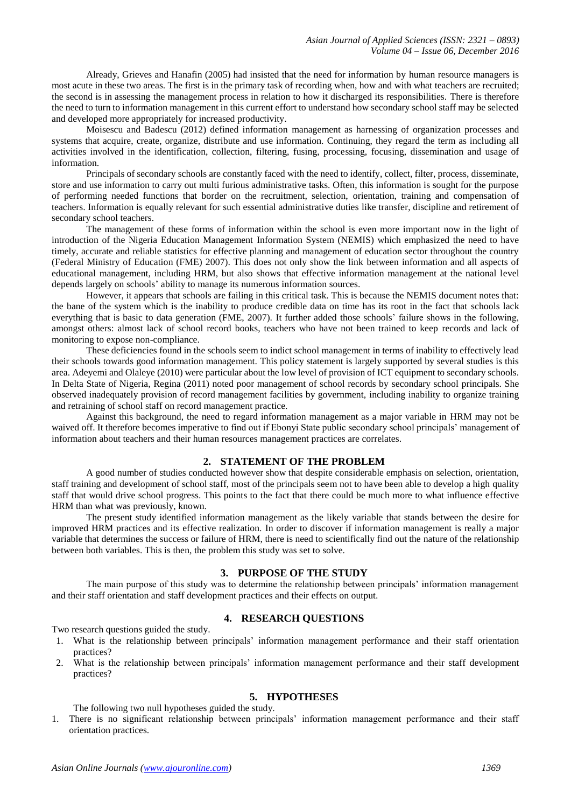Already, Grieves and Hanafin (2005) had insisted that the need for information by human resource managers is most acute in these two areas. The first is in the primary task of recording when, how and with what teachers are recruited; the second is in assessing the management process in relation to how it discharged its responsibilities. There is therefore the need to turn to information management in this current effort to understand how secondary school staff may be selected and developed more appropriately for increased productivity.

Moisescu and Badescu (2012) defined information management as harnessing of organization processes and systems that acquire, create, organize, distribute and use information. Continuing, they regard the term as including all activities involved in the identification, collection, filtering, fusing, processing, focusing, dissemination and usage of information.

Principals of secondary schools are constantly faced with the need to identify, collect, filter, process, disseminate, store and use information to carry out multi furious administrative tasks. Often, this information is sought for the purpose of performing needed functions that border on the recruitment, selection, orientation, training and compensation of teachers. Information is equally relevant for such essential administrative duties like transfer, discipline and retirement of secondary school teachers.

The management of these forms of information within the school is even more important now in the light of introduction of the Nigeria Education Management Information System (NEMIS) which emphasized the need to have timely, accurate and reliable statistics for effective planning and management of education sector throughout the country (Federal Ministry of Education (FME) 2007). This does not only show the link between information and all aspects of educational management, including HRM, but also shows that effective information management at the national level depends largely on schools' ability to manage its numerous information sources.

However, it appears that schools are failing in this critical task. This is because the NEMIS document notes that: the bane of the system which is the inability to produce credible data on time has its root in the fact that schools lack everything that is basic to data generation (FME, 2007). It further added those schools' failure shows in the following, amongst others: almost lack of school record books, teachers who have not been trained to keep records and lack of monitoring to expose non-compliance.

These deficiencies found in the schools seem to indict school management in terms of inability to effectively lead their schools towards good information management. This policy statement is largely supported by several studies is this area. Adeyemi and Olaleye (2010) were particular about the low level of provision of ICT equipment to secondary schools. In Delta State of Nigeria, Regina (2011) noted poor management of school records by secondary school principals. She observed inadequately provision of record management facilities by government, including inability to organize training and retraining of school staff on record management practice.

Against this background, the need to regard information management as a major variable in HRM may not be waived off. It therefore becomes imperative to find out if Ebonyi State public secondary school principals' management of information about teachers and their human resources management practices are correlates.

# **2. STATEMENT OF THE PROBLEM**

A good number of studies conducted however show that despite considerable emphasis on selection, orientation, staff training and development of school staff, most of the principals seem not to have been able to develop a high quality staff that would drive school progress. This points to the fact that there could be much more to what influence effective HRM than what was previously, known.

The present study identified information management as the likely variable that stands between the desire for improved HRM practices and its effective realization. In order to discover if information management is really a major variable that determines the success or failure of HRM, there is need to scientifically find out the nature of the relationship between both variables. This is then, the problem this study was set to solve.

## **3. PURPOSE OF THE STUDY**

The main purpose of this study was to determine the relationship between principals' information management and their staff orientation and staff development practices and their effects on output.

## **4. RESEARCH QUESTIONS**

Two research questions guided the study.

- 1. What is the relationship between principals' information management performance and their staff orientation practices?
- 2. What is the relationship between principals' information management performance and their staff development practices?

## **5. HYPOTHESES**

The following two null hypotheses guided the study.

1. There is no significant relationship between principals' information management performance and their staff orientation practices.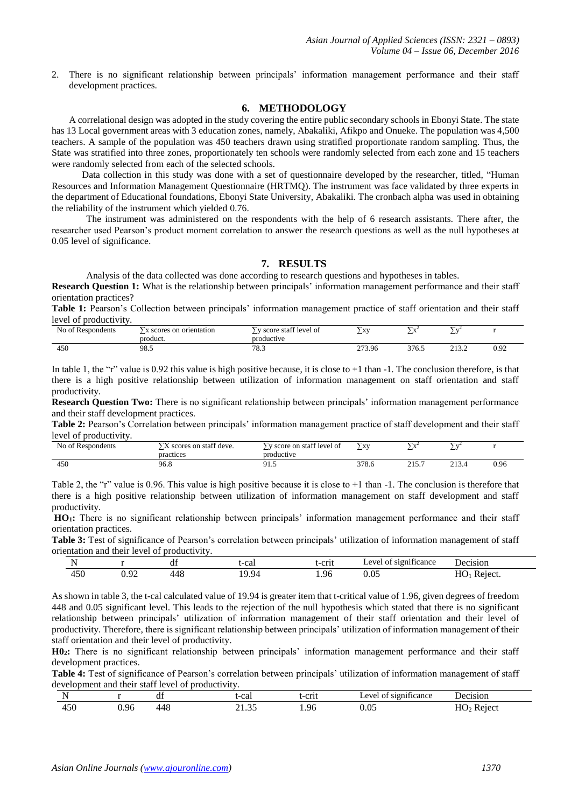2. There is no significant relationship between principals' information management performance and their staff development practices.

#### **6. METHODOLOGY**

A correlational design was adopted in the study covering the entire public secondary schools in Ebonyi State. The state has 13 Local government areas with 3 education zones, namely, Abakaliki, Afikpo and Onueke. The population was 4,500 teachers. A sample of the population was 450 teachers drawn using stratified proportionate random sampling. Thus, the State was stratified into three zones, proportionately ten schools were randomly selected from each zone and 15 teachers were randomly selected from each of the selected schools.

Data collection in this study was done with a set of questionnaire developed by the researcher, titled, "Human Resources and Information Management Questionnaire (HRTMQ). The instrument was face validated by three experts in the department of Educational foundations, Ebonyi State University, Abakaliki. The cronbach alpha was used in obtaining the reliability of the instrument which yielded 0.76.

The instrument was administered on the respondents with the help of 6 research assistants. There after, the researcher used Pearson's product moment correlation to answer the research questions as well as the null hypotheses at 0.05 level of significance.

# **7. RESULTS**

Analysis of the data collected was done according to research questions and hypotheses in tables.

**Research Question 1:** What is the relationship between principals' information management performance and their staff orientation practices?

**Table 1:** Pearson's Collection between principals' information management practice of staff orientation and their staff level of productivity.

| N <sub>0</sub><br>Respondents<br>⌒+ | scores on orientation<br>product. | $\sim$<br>score staff level of<br>productive | $\overline{\phantom{a}}$<br>V1<br>$\overline{1}$ | $\overline{\phantom{0}}$<br>$-1$ | --<br>$\sim$<br>- |                |
|-------------------------------------|-----------------------------------|----------------------------------------------|--------------------------------------------------|----------------------------------|-------------------|----------------|
| 40U                                 | 98.5                              | 70.7<br>د.ه                                  | 272<br>273.96                                    | 376.5                            | <u>_</u>          | ി റി<br>0. J 4 |

In table 1, the "r" value is 0.92 this value is high positive because, it is close to  $+1$  than  $-1$ . The conclusion therefore, is that there is a high positive relationship between utilization of information management on staff orientation and staff productivity.

**Research Question Two:** There is no significant relationship between principals' information management performance and their staff development practices.

**Table 2:** Pearson's Correlation between principals' information management practice of staff development and their staff level of productivity.

| No of Respondents | $\sqrt{2}$<br>scores on staff deve.<br>practices | y score on staff level of<br>productive | $\mathbf{v}$<br>$\Lambda$ | $\overline{\phantom{a}}$<br>$-1$<br>$\lambda$ | $\mathbf{V}$    |      |
|-------------------|--------------------------------------------------|-----------------------------------------|---------------------------|-----------------------------------------------|-----------------|------|
| 450               | 96.8                                             | ن. 1                                    | 270<br>378.0              | $\sim$ $\sim$ $\sim$<br>----<br>____          | າ 1 າ<br>21.3.7 | 0.96 |

Table 2, the "r" value is 0.96. This value is high positive because it is close to  $+1$  than  $-1$ . The conclusion is therefore that there is a high positive relationship between utilization of information management on staff development and staff productivity.

**HO1:** There is no significant relationship between principals' information management performance and their staff orientation practices.

**Table 3:** Test of significance of Pearson's correlation between principals' utilization of information management of staff orientation and their level of productivity.

|                             |                           | a   | -cai<br>. | erit<br>$\sim$ | $\cdot$<br>PVP<br>significance | <b>Decision</b>   |
|-----------------------------|---------------------------|-----|-----------|----------------|--------------------------------|-------------------|
| $\sim$ $\sim$<br>. .<br>tJU | $\Omega$<br>. .<br>U . ノム | 448 | 19.94     | <b>1.96</b>    | ስ ስደ<br>U.UJ                   | Reject.<br>11 V 1 |

As shown in table 3, the t-cal calculated value of 19.94 is greater item that t-critical value of 1.96, given degrees of freedom 448 and 0.05 significant level. This leads to the rejection of the null hypothesis which stated that there is no significant relationship between principals' utilization of information management of their staff orientation and their level of productivity. Therefore, there is significant relationship between principals' utilization of information management of their staff orientation and their level of productivity.

**H02:** There is no significant relationship between principals' information management performance and their staff development practices.

**Table 4:** Test of significance of Pearson's correlation between principals' utilization of information management of staff development and their staff level of productivity.

|                      |     | dı.        | t-cal | t-crit | $\mathbf{A}$<br><b>S1011</b><br>ticance<br>___ | )ecision<br>. |
|----------------------|-----|------------|-------|--------|------------------------------------------------|---------------|
| $\sim$ $\sim$<br>IJU | -96 | A C<br>448 |       | .96    |                                                | K e 1e.       |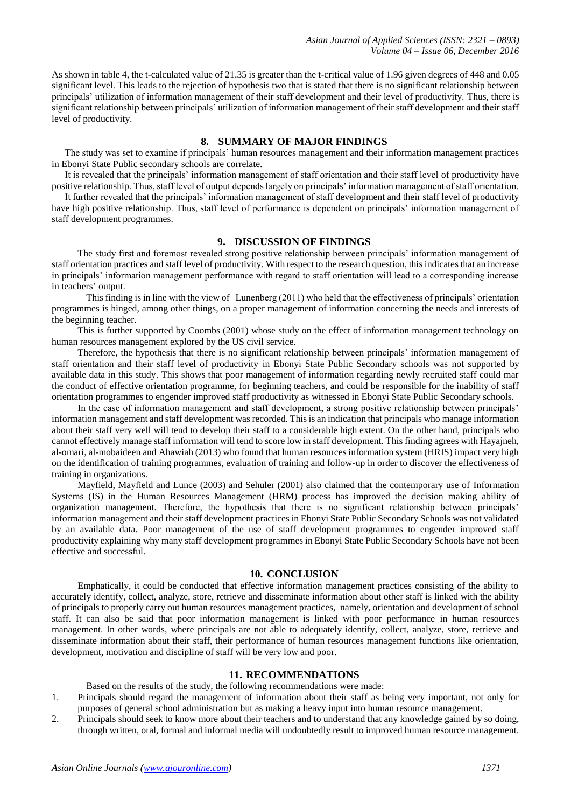As shown in table 4, the t-calculated value of 21.35 is greater than the t-critical value of 1.96 given degrees of 448 and 0.05 significant level. This leads to the rejection of hypothesis two that is stated that there is no significant relationship between principals' utilization of information management of their staff development and their level of productivity. Thus, there is significant relationship between principals' utilization of information management of their staff development and their staff level of productivity.

#### **8. SUMMARY OF MAJOR FINDINGS**

The study was set to examine if principals' human resources management and their information management practices in Ebonyi State Public secondary schools are correlate.

It is revealed that the principals' information management of staff orientation and their staff level of productivity have positive relationship. Thus, staff level of output depends largely on principals' information management of staff orientation.

It further revealed that the principals' information management of staff development and their staff level of productivity have high positive relationship. Thus, staff level of performance is dependent on principals' information management of staff development programmes.

# **9. DISCUSSION OF FINDINGS**

The study first and foremost revealed strong positive relationship between principals' information management of staff orientation practices and staff level of productivity. With respect to the research question, this indicates that an increase in principals' information management performance with regard to staff orientation will lead to a corresponding increase in teachers' output.

This finding is in line with the view of Lunenberg (2011) who held that the effectiveness of principals' orientation programmes is hinged, among other things, on a proper management of information concerning the needs and interests of the beginning teacher.

This is further supported by Coombs (2001) whose study on the effect of information management technology on human resources management explored by the US civil service.

Therefore, the hypothesis that there is no significant relationship between principals' information management of staff orientation and their staff level of productivity in Ebonyi State Public Secondary schools was not supported by available data in this study. This shows that poor management of information regarding newly recruited staff could mar the conduct of effective orientation programme, for beginning teachers, and could be responsible for the inability of staff orientation programmes to engender improved staff productivity as witnessed in Ebonyi State Public Secondary schools.

In the case of information management and staff development, a strong positive relationship between principals' information management and staff development was recorded. This is an indication that principals who manage information about their staff very well will tend to develop their staff to a considerable high extent. On the other hand, principals who cannot effectively manage staff information will tend to score low in staff development. This finding agrees with Hayajneh, al-omari, al-mobaideen and Ahawiah (2013) who found that human resources information system (HRIS) impact very high on the identification of training programmes, evaluation of training and follow-up in order to discover the effectiveness of training in organizations.

Mayfield, Mayfield and Lunce (2003) and Sehuler (2001) also claimed that the contemporary use of Information Systems (IS) in the Human Resources Management (HRM) process has improved the decision making ability of organization management. Therefore, the hypothesis that there is no significant relationship between principals' information management and their staff development practices in Ebonyi State Public Secondary Schools was not validated by an available data. Poor management of the use of staff development programmes to engender improved staff productivity explaining why many staff development programmes in Ebonyi State Public Secondary Schools have not been effective and successful.

# **10. CONCLUSION**

Emphatically, it could be conducted that effective information management practices consisting of the ability to accurately identify, collect, analyze, store, retrieve and disseminate information about other staff is linked with the ability of principals to properly carry out human resources management practices, namely, orientation and development of school staff. It can also be said that poor information management is linked with poor performance in human resources management. In other words, where principals are not able to adequately identify, collect, analyze, store, retrieve and disseminate information about their staff, their performance of human resources management functions like orientation, development, motivation and discipline of staff will be very low and poor.

#### **11. RECOMMENDATIONS**

Based on the results of the study, the following recommendations were made:

- 1. Principals should regard the management of information about their staff as being very important, not only for purposes of general school administration but as making a heavy input into human resource management.
- 2. Principals should seek to know more about their teachers and to understand that any knowledge gained by so doing, through written, oral, formal and informal media will undoubtedly result to improved human resource management.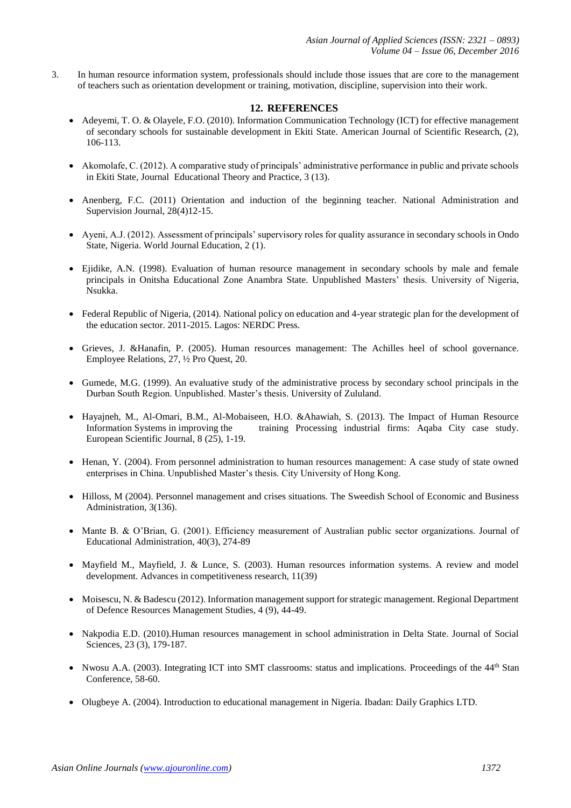3. In human resource information system, professionals should include those issues that are core to the management of teachers such as orientation development or training, motivation, discipline, supervision into their work.

# **12. REFERENCES**

- Adeyemi, T. O. & Olayele, F.O. (2010). Information Communication Technology (ICT) for effective management of secondary schools for sustainable development in Ekiti State. American Journal of Scientific Research, (2), 106-113.
- Akomolafe, C. (2012). A comparative study of principals' administrative performance in public and private schools in Ekiti State, Journal Educational Theory and Practice, 3 (13).
- Anenberg, F.C. (2011) Orientation and induction of the beginning teacher. National Administration and Supervision Journal, 28(4)12-15.
- Ayeni, A.J. (2012). Assessment of principals' supervisory roles for quality assurance in secondary schools in Ondo State, Nigeria. World Journal Education, 2 (1).
- Ejidike, A.N. (1998). Evaluation of human resource management in secondary schools by male and female principals in Onitsha Educational Zone Anambra State. Unpublished Masters' thesis. University of Nigeria, Nsukka.
- Federal Republic of Nigeria, (2014). National policy on education and 4-year strategic plan for the development of the education sector. 2011-2015. Lagos: NERDC Press.
- Grieves, J. &Hanafin, P. (2005). Human resources management: The Achilles heel of school governance. Employee Relations, 27, ½ Pro Quest, 20.
- Gumede, M.G. (1999). An evaluative study of the administrative process by secondary school principals in the Durban South Region. Unpublished. Master's thesis. University of Zululand.
- Hayajneh, M., Al-Omari, B.M., Al-Mobaiseen, H.O. &Ahawiah, S. (2013). The Impact of Human Resource Information Systems in improving the training Processing industrial firms: Aqaba City case study. European Scientific Journal, 8 (25), 1-19.
- Henan, Y. (2004). From personnel administration to human resources management: A case study of state owned enterprises in China. Unpublished Master's thesis. City University of Hong Kong.
- Hilloss, M (2004). Personnel management and crises situations. The Sweedish School of Economic and Business Administration, 3(136).
- Mante B. & O'Brian, G. (2001). Efficiency measurement of Australian public sector organizations. Journal of Educational Administration, 40(3), 274-89
- Mayfield M., Mayfield, J. & Lunce, S. (2003). Human resources information systems. A review and model development. Advances in competitiveness research, 11(39)
- Moisescu, N. & Badescu (2012). Information management support for strategic management. Regional Department of Defence Resources Management Studies, 4 (9), 44-49.
- Nakpodia E.D. (2010).Human resources management in school administration in Delta State. Journal of Social Sciences, 23 (3), 179-187.
- Nwosu A.A. (2003). Integrating ICT into SMT classrooms: status and implications. Proceedings of the 44<sup>th</sup> Stan Conference, 58-60.
- Olugbeye A. (2004). Introduction to educational management in Nigeria. Ibadan: Daily Graphics LTD.